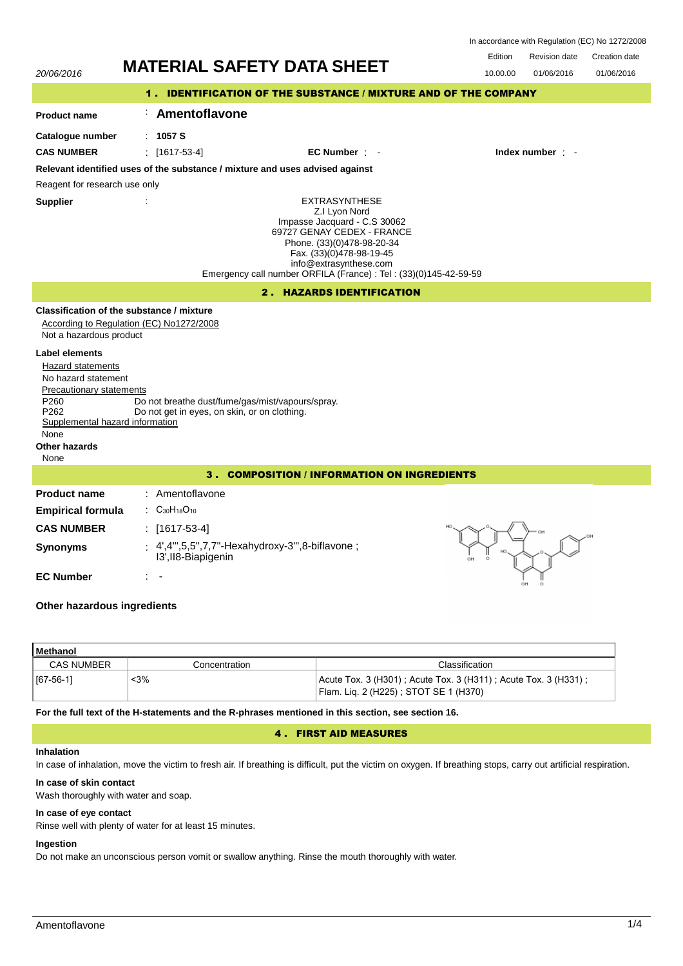| 20/06/2016                                                                                                                      |                                                                                                  | <b>MATERIAL SAFETY DATA SHEET</b>                                                                                                                                                                                                                            | Edition<br><b>Revision date</b><br>Creation date<br>10.00.00<br>01/06/2016<br>01/06/2016 |  |  |  |
|---------------------------------------------------------------------------------------------------------------------------------|--------------------------------------------------------------------------------------------------|--------------------------------------------------------------------------------------------------------------------------------------------------------------------------------------------------------------------------------------------------------------|------------------------------------------------------------------------------------------|--|--|--|
|                                                                                                                                 |                                                                                                  | 1. IDENTIFICATION OF THE SUBSTANCE / MIXTURE AND OF THE COMPANY                                                                                                                                                                                              |                                                                                          |  |  |  |
| <b>Product name</b>                                                                                                             | Amentoflavone                                                                                    |                                                                                                                                                                                                                                                              |                                                                                          |  |  |  |
| Catalogue number                                                                                                                | : $1057S$                                                                                        |                                                                                                                                                                                                                                                              |                                                                                          |  |  |  |
| <b>CAS NUMBER</b>                                                                                                               | $[1617-53-4]$                                                                                    | $EC$ Number $\cdot$                                                                                                                                                                                                                                          | Index number : -                                                                         |  |  |  |
|                                                                                                                                 |                                                                                                  | Relevant identified uses of the substance / mixture and uses advised against                                                                                                                                                                                 |                                                                                          |  |  |  |
| Reagent for research use only                                                                                                   |                                                                                                  |                                                                                                                                                                                                                                                              |                                                                                          |  |  |  |
| <b>Supplier</b>                                                                                                                 |                                                                                                  | <b>EXTRASYNTHESE</b><br>Z.I Lyon Nord<br>Impasse Jacquard - C.S 30062<br>69727 GENAY CEDEX - FRANCE<br>Phone. (33)(0)478-98-20-34<br>Fax. (33)(0)478-98-19-45<br>info@extrasynthese.com<br>Emergency call number ORFILA (France) : Tel : (33)(0)145-42-59-59 |                                                                                          |  |  |  |
|                                                                                                                                 |                                                                                                  | 2. HAZARDS IDENTIFICATION                                                                                                                                                                                                                                    |                                                                                          |  |  |  |
| Not a hazardous product<br><b>Label elements</b><br>Hazard statements<br>No hazard statement<br><b>Precautionary statements</b> | Classification of the substance / mixture<br>According to Regulation (EC) No1272/2008            |                                                                                                                                                                                                                                                              |                                                                                          |  |  |  |
| P <sub>260</sub><br>P262<br>Supplemental hazard information<br>None<br>Other hazards<br>None                                    | Do not breathe dust/fume/gas/mist/vapours/spray.<br>Do not get in eyes, on skin, or on clothing. |                                                                                                                                                                                                                                                              |                                                                                          |  |  |  |
| 3. COMPOSITION / INFORMATION ON INGREDIENTS                                                                                     |                                                                                                  |                                                                                                                                                                                                                                                              |                                                                                          |  |  |  |
| <b>Product name</b>                                                                                                             | : Amentoflavone                                                                                  |                                                                                                                                                                                                                                                              |                                                                                          |  |  |  |
| <b>Empirical formula</b>                                                                                                        | : $C_{30}H_{18}O_{10}$                                                                           |                                                                                                                                                                                                                                                              |                                                                                          |  |  |  |
| <b>CAS NUMBER</b>                                                                                                               | : $[1617-53-4]$                                                                                  |                                                                                                                                                                                                                                                              |                                                                                          |  |  |  |
| <b>Synonyms</b>                                                                                                                 | 13', II8-Biapigenin                                                                              | : 4',4"',5,5",7,7"-Hexahydroxy-3"',8-biflavone;                                                                                                                                                                                                              |                                                                                          |  |  |  |
| <b>EC Number</b><br>Other hazardous ingredients                                                                                 |                                                                                                  |                                                                                                                                                                                                                                                              |                                                                                          |  |  |  |
|                                                                                                                                 |                                                                                                  |                                                                                                                                                                                                                                                              |                                                                                          |  |  |  |

# **Methanol** CAS NUMBER Concentration Concentration Classification [67-56-1] <3% Acute Tox. 3 (H301) ; Acute Tox. 3 (H311) ; Acute Tox. 3 (H331) ; Flam. Liq. 2 (H225) ; STOT SE 1 (H370)

**For the full text of the H-statements and the R-phrases mentioned in this section, see section 16.**

# 4 . FIRST AID MEASURES

# **Inhalation**

In case of inhalation, move the victim to fresh air. If breathing is difficult, put the victim on oxygen. If breathing stops, carry out artificial respiration.

# **In case of skin contact**

Wash thoroughly with water and soap.

# **In case of eye contact**

Rinse well with plenty of water for at least 15 minutes.

# **Ingestion**

Do not make an unconscious person vomit or swallow anything. Rinse the mouth thoroughly with water.

In accordance with Regulation (EC) No 1272/2008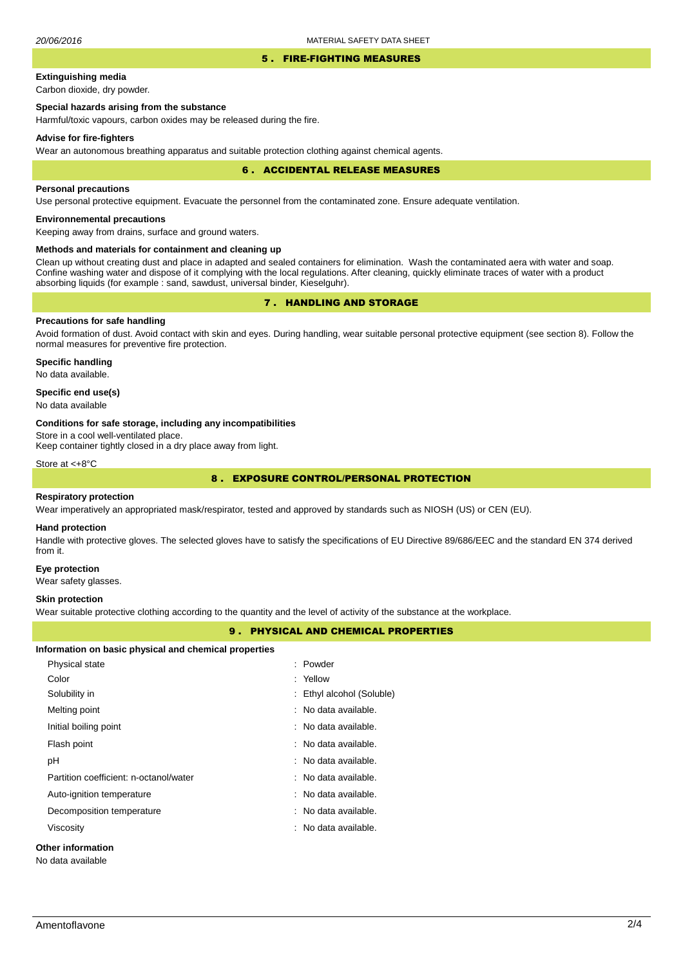#### 5 . FIRE-FIGHTING MEASURES

# **Extinguishing media**

Carbon dioxide, dry powder.

# **Special hazards arising from the substance**

Harmful/toxic vapours, carbon oxides may be released during the fire.

#### **Advise for fire-fighters**

Wear an autonomous breathing apparatus and suitable protection clothing against chemical agents.

#### 6 . ACCIDENTAL RELEASE MEASURES

### **Personal precautions**

Use personal protective equipment. Evacuate the personnel from the contaminated zone. Ensure adequate ventilation.

# **Environnemental precautions**

Keeping away from drains, surface and ground waters.

## **Methods and materials for containment and cleaning up**

Clean up without creating dust and place in adapted and sealed containers for elimination. Wash the contaminated aera with water and soap. Confine washing water and dispose of it complying with the local regulations. After cleaning, quickly eliminate traces of water with a product absorbing liquids (for example : sand, sawdust, universal binder, Kieselguhr).

# 7 . HANDLING AND STORAGE

## **Precautions for safe handling**

Avoid formation of dust. Avoid contact with skin and eyes. During handling, wear suitable personal protective equipment (see section 8). Follow the normal measures for preventive fire protection.

**Specific handling** No data available.

## **Specific end use(s)**

No data available

#### **Conditions for safe storage, including any incompatibilities**

Store in a cool well-ventilated place.

Keep container tightly closed in a dry place away from light.

Store at <+8°C

# 8 . EXPOSURE CONTROL/PERSONAL PROTECTION

#### **Respiratory protection**

Wear imperatively an appropriated mask/respirator, tested and approved by standards such as NIOSH (US) or CEN (EU).

#### **Hand protection**

Handle with protective gloves. The selected gloves have to satisfy the specifications of EU Directive 89/686/EEC and the standard EN 374 derived from it.

#### **Eye protection**

Wear safety glasses.

#### **Skin protection**

Wear suitable protective clothing according to the quantity and the level of activity of the substance at the workplace.

## 9 . PHYSICAL AND CHEMICAL PROPERTIES

| Information on basic physical and chemical properties |          |  |  |  |
|-------------------------------------------------------|----------|--|--|--|
| Physical state                                        | : Powder |  |  |  |
| Color                                                 | : Yellow |  |  |  |

| Solubility in                          | : Ethyl alcohol (Soluble) |
|----------------------------------------|---------------------------|
| Melting point                          | : No data available.      |
| Initial boiling point                  | : No data available.      |
| Flash point                            | $:$ No data available.    |
| рH                                     | : No data available.      |
| Partition coefficient: n-octanol/water | : No data available.      |
| Auto-ignition temperature              | : No data available.      |
| Decomposition temperature              | : No data available.      |
| Viscosity                              | : No data available.      |
|                                        |                           |

# **Other information**

No data available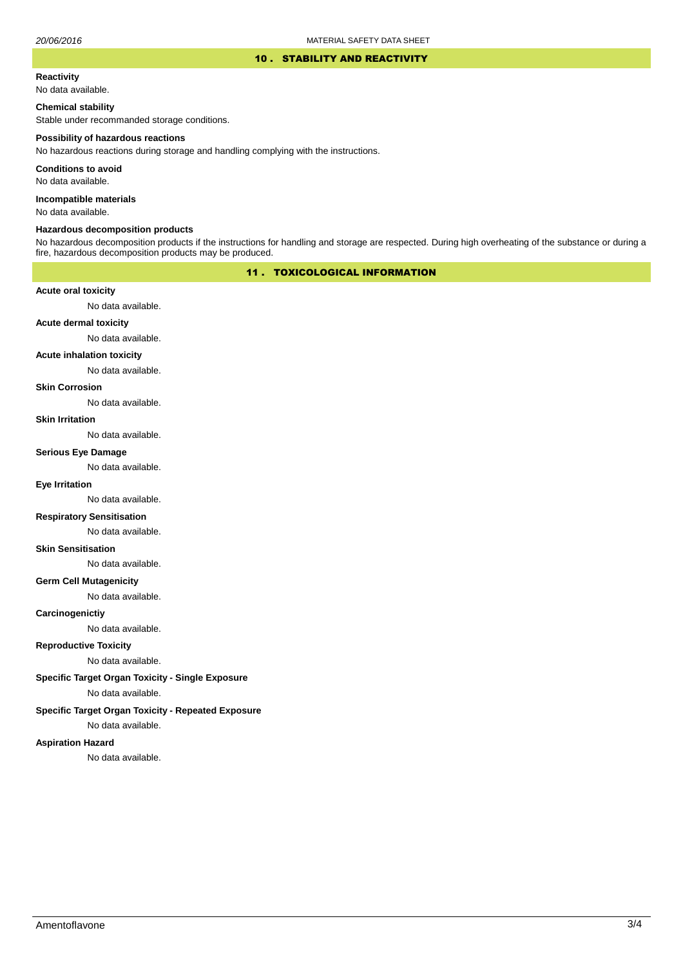### 10 . STABILITY AND REACTIVITY

#### **Reactivity**

No data available.

## **Chemical stability**

Stable under recommanded storage conditions.

#### **Possibility of hazardous reactions**

No hazardous reactions during storage and handling complying with the instructions.

**Conditions to avoid**

No data available.

**Incompatible materials**

No data available.

## **Hazardous decomposition products**

No hazardous decomposition products if the instructions for handling and storage are respected. During high overheating of the substance or during a fire, hazardous decomposition products may be produced.

## 11 . TOXICOLOGICAL INFORMATION

## **Acute oral toxicity**

No data available.

# **Acute dermal toxicity**

No data available.

#### **Acute inhalation toxicity**

No data available.

## **Skin Corrosion**

No data available.

#### **Skin Irritation**

No data available.

# **Serious Eye Damage**

No data available.

## **Eye Irritation**

No data available.

## **Respiratory Sensitisation**

No data available.

### **Skin Sensitisation**

No data available.

## **Germ Cell Mutagenicity**

No data available.

## **Carcinogenictiy**

No data available.

## **Reproductive Toxicity**

No data available.

## **Specific Target Organ Toxicity - Single Exposure**

No data available.

## **Specific Target Organ Toxicity - Repeated Exposure**

No data available.

### **Aspiration Hazard**

No data available.